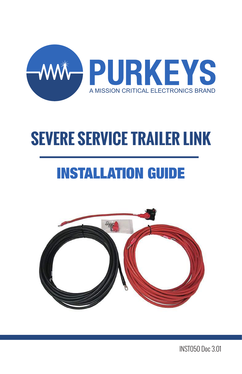

# INSTALLATION GUIDE



INST050 Doc 3.01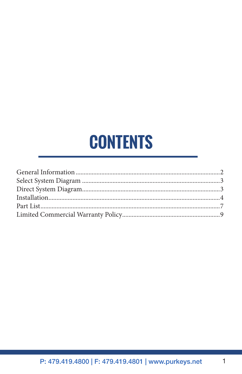# **CONTENTS**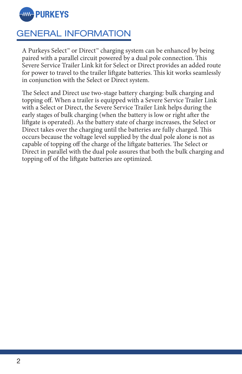

### GENERAL INFORMATION

A Purkeys Select™ or Direct™ charging system can be enhanced by being paired with a parallel circuit powered by a dual pole connection. This Severe Service Trailer Link kit for Select or Direct provides an added route for power to travel to the trailer liftgate batteries. This kit works seamlessly in conjunction with the Select or Direct system.

The Select and Direct use two-stage battery charging: bulk charging and topping off. When a trailer is equipped with a Severe Service Trailer Link with a Select or Direct, the Severe Service Trailer Link helps during the early stages of bulk charging (when the battery is low or right after the liftgate is operated). As the battery state of charge increases, the Select or Direct takes over the charging until the batteries are fully charged. This occurs because the voltage level supplied by the dual pole alone is not as capable of topping off the charge of the liftgate batteries. The Select or Direct in parallel with the dual pole assures that both the bulk charging and topping off of the liftgate batteries are optimized.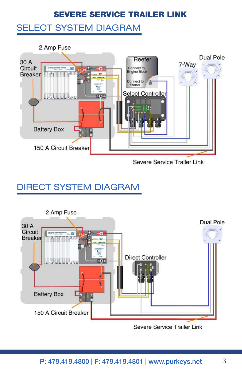#### SELECT SYSTEM DIAGRAM



# DIRECT SYSTEM DIAGRAM

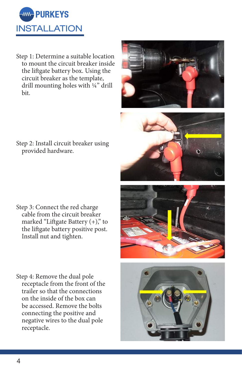

Step 1: Determine a suitable location to mount the circuit breaker inside the liftgate battery box. Using the circuit breaker as the template, drill mounting holes with ¼" drill bit.

Step 2: Install circuit breaker using provided hardware.

- Step 3: Connect the red charge cable from the circuit breaker marked "Liftgate Battery  $(+)$ ," to the liftgate battery positive post. Install nut and tighten.
- Step 4: Remove the dual pole receptacle from the front of the trailer so that the connections on the inside of the box can be accessed. Remove the bolts connecting the positive and negative wires to the dual pole receptacle.







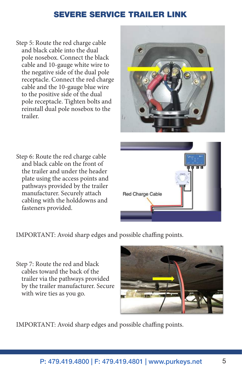Step 5: Route the red charge cable and black cable into the dual pole nosebox. Connect the black cable and 10-gauge white wire to the negative side of the dual pole receptacle. Connect the red charge cable and the 10-gauge blue wire to the positive side of the dual pole receptacle. Tighten bolts and reinstall dual pole nosebox to the trailer.



Step 6: Route the red charge cable and black cable on the front of the trailer and under the header plate using the access points and pathways provided by the trailer manufacturer. Securely attach cabling with the holddowns and fasteners provided.



IMPORTANT: Avoid sharp edges and possible chaffing points.

Step 7: Route the red and black cables toward the back of the trailer via the pathways provided by the trailer manufacturer. Secure with wire ties as you go.



IMPORTANT: Avoid sharp edges and possible chaffing points.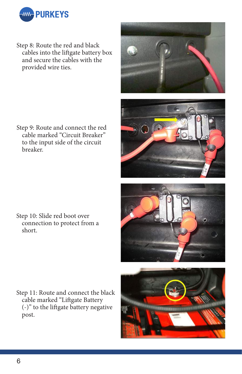

Step 8: Route the red and black cables into the liftgate battery box and secure the cables with the provided wire ties.

Step 9: Route and connect the red cable marked "Circuit Breaker" to the input side of the circuit breaker.

Step 10: Slide red boot over connection to protect from a short.

Step 11: Route and connect the black cable marked "Liftgate Battery (-)" to the liftgate battery negative post.





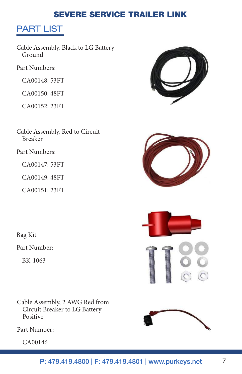# PART LIST

Cable Assembly, Black to LG Battery Ground

Part Numbers:

CA00148: 53FT

CA00150: 48FT

CA00152: 23FT

Cable Assembly, Red to Circuit Breaker

Part Numbers:

CA00147: 53FT

CA00149: 48FT

CA00151: 23FT

Bag Kit

Part Number:

BK-1063

Cable Assembly, 2 AWG Red from Circuit Breaker to LG Battery Positive

Part Number:

CA00146







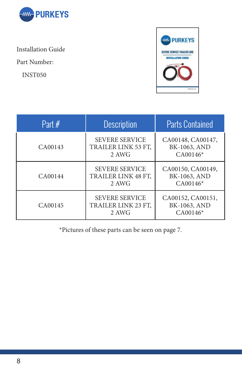

Installation Guide

Part Number:

INST050



| Part $#$ | <b>Description</b>                                    | <b>Parts Contained</b>                          |
|----------|-------------------------------------------------------|-------------------------------------------------|
| CA00143  | <b>SEVERE SERVICE</b><br>TRAILER LINK 53 FT,<br>2 AWG | CA00148, CA00147,<br>BK-1063, AND<br>$CA00146*$ |
| CA00144  | <b>SEVERE SERVICE</b><br>TRAILER LINK 48 FT,<br>2 AWG | CA00150, CA00149,<br>BK-1063, AND<br>$CA00146*$ |
| CA00145  | <b>SEVERE SERVICE</b><br>TRAILER LINK 23 FT,<br>2 AWG | CA00152, CA00151,<br>BK-1063, AND<br>$CA00146*$ |

\*Pictures of these parts can be seen on page 7.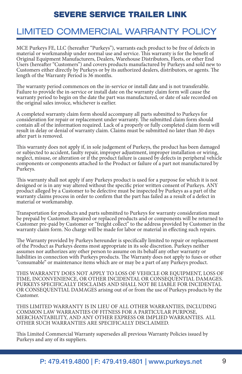## LIMITED COMMERCIAL WARRANTY POLICY

MCE Purkeys FE, LLC (hereafter "Purkeys"), warrants each product to be free of defects in material or workmanship under normal use and service. This warranty is for the benefit of Original Equipment Manufacturers, Dealers, Warehouse Distributors, Fleets, or other End Users (hereafter "Customers") and covers products manufactured by Purkeys and sold new to Customers either directly by Purkeys or by its authorized dealers, distributors, or agents. The length of the Warranty Period is 36 months.

The warranty period commences on the in-service or install date and is not transferable. Failure to provide the in-service or install date on the warranty claim form will cause the warranty period to begin on the date the part was manufactured, or date of sale recorded on the original sales invoice, whichever is earlier.

A completed warranty claim form should accompany all parts submitted to Purkeys for consideration for repair or replacement under warranty. The submitted claim form should contain all of the information required. Lack of a properly or fully completed claim form will result in delay or denial of warranty claim. Claims must be submitted no later than 30 days after part is removed.

This warranty does not apply if, in sole judgement of Purkeys, the product has been damaged or subjected to accident, faulty repair, improper adjustment, improper installation or wiring, neglect, misuse, or alteration or if the product failure is caused by defects in peripheral vehicle components or components attached to the Product or failure of a part not manufactured by Purkeys.

This warranty shall not apply if any Purkeys product is used for a purpose for which it is not designed or is in any way altered without the specific prior written consent of Purkeys. ANY product alleged by a Customer to be defective must be inspected by Purkeys as a part of the warranty claims process in order to confirm that the part has failed as a result of a defect in material or workmanship.

Transportation for products and parts submitted to Purkeys for warranty consideration must be prepaid by Customer. Repaired or replaced products and or components will be returned to Customer pre-paid by Customer or "freight collect" to the address provided by Customer in the warranty claim form. No charge will be made for labor or material in effecting such repairs.

The Warranty provided by Purkeys hereunder is specifically limited to repair or replacement of the Product as Purkeys deems most appropriate in its sole discretion. Purkeys neither assumes nor authorizes any other person to assume on its behalf any other warranty or liabilities in connection with Purkeys products. The Warranty does not apply to fuses or other "consumable" or maintenance items which are or may be a part of any Purkeys product.

THIS WARRANTY DOES NOT APPLY TO LOSS OF VEHICLE OR EQUIPMENT, LOSS OF TIME, INCONVENIENCE, OR OTHER INCIDENTAL OR CONSEQUENTIAL DAMAGES. PURKEYS SPECIFICALLY DISCLAIMS AND SHALL NOT BE LIABLE FOR INCIDENTAL OR CONSEQUENTIAL DAMAGES arising out of or from the use of Purkeys products by the Customer.

THIS LIMITED WARRANTY IS IN LIEU OF ALL OTHER WARRANTIES, INCLUDING COMMON LAW WARRANTIES OF FITNESS FOR A PARTICULAR PURPOSE, MERCHANTABILITY, AND ANY OTHER EXPRESS OR IMPLIED WARRANTIES. ALL OTHER SUCH WARRANTIES ARE SPECIFICALLY DISCLAIMED.

This Limited Commercial Warranty supersedes all previous Warranty Policies issued by Purkeys and any of its suppliers.